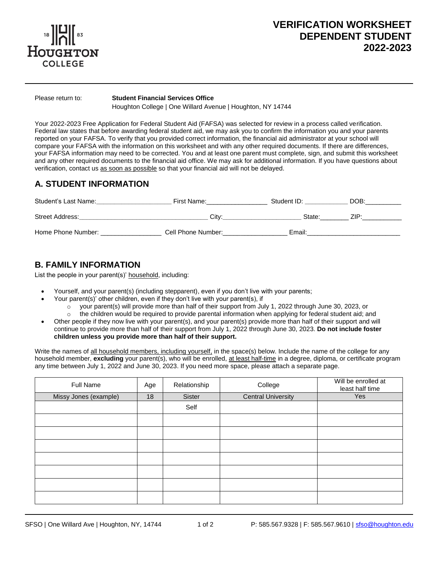

# **VERIFICATION WORKSHEET DEPENDENT STUDENT 2022-2023**

 $\overline{a}$ 

### Please return to: **Student Financial Services Office**

Houghton College | One Willard Avenue | Houghton, NY 14744

Your 2022-2023 Free Application for Federal Student Aid (FAFSA) was selected for review in a process called verification. Federal law states that before awarding federal student aid, we may ask you to confirm the information you and your parents reported on your FAFSA. To verify that you provided correct information, the financial aid administrator at your school will compare your FAFSA with the information on this worksheet and with any other required documents. If there are differences, your FAFSA information may need to be corrected. You and at least one parent must complete, sign, and submit this worksheet and any other required documents to the financial aid office. We may ask for additional information. If you have questions about verification, contact us as soon as possible so that your financial aid will not be delayed.

## **A. STUDENT INFORMATION**

| Student's Last Name: | First Name:        | Student ID: | DOB: |
|----------------------|--------------------|-------------|------|
| Street Address:      | Citv:              | State:      | 71P. |
| Home Phone Number:   | Cell Phone Number: | Email:      |      |

## **B. FAMILY INFORMATION**

List the people in your parent(s)' household, including:

- Yourself, and your parent(s) (including stepparent), even if you don't live with your parents;
- Your parent(s)' other children, even if they don't live with your parent(s), if
	- o your parent(s) will provide more than half of their support from July 1, 2022 through June 30, 2023, or
	- $\circ$  the children would be required to provide parental information when applying for federal student aid; and • Other people if they now live with your parent(s), and your parent(s) provide more than half of their support and will
- continue to provide more than half of their support from July 1, 2022 through June 30, 2023. **Do not include foster children unless you provide more than half of their support.**

Write the names of all household members, including yourself, in the space(s) below. Include the name of the college for any household member, **excluding** your parent(s), who will be enrolled, at least half-time in a degree, diploma, or certificate program any time between July 1, 2022 and June 30, 2023. If you need more space, please attach a separate page.

| <b>Full Name</b>      | Age | Relationship | College                   | Will be enrolled at<br>least half time |
|-----------------------|-----|--------------|---------------------------|----------------------------------------|
| Missy Jones (example) | 18  | Sister       | <b>Central University</b> | Yes                                    |
|                       |     | Self         |                           |                                        |
|                       |     |              |                           |                                        |
|                       |     |              |                           |                                        |
|                       |     |              |                           |                                        |
|                       |     |              |                           |                                        |
|                       |     |              |                           |                                        |
|                       |     |              |                           |                                        |
|                       |     |              |                           |                                        |

 $\overline{a}$